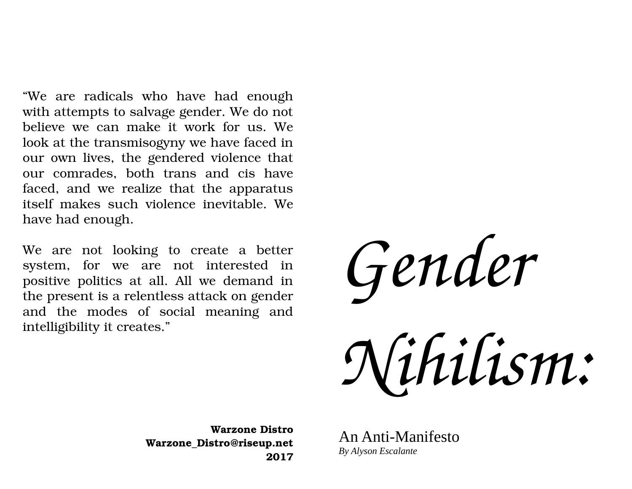"We are radicals who have had enough with attempts to salvage gender. We do not believe we can make it work for us. We look at the transmisogyny we have faced in our own lives, the gendered violence that our comrades, both trans and cis have faced, and we realize that the apparatus itself makes such violence inevitable. We have had enough.

We are not looking to create a better system, for we are not interested in positive politics at all. All we demand in the present is a relentless attack on gender and the modes of social meaning and intelligibility it creates."

*Gender Nihilism:*

**Warzone Distro Warzone\_Distro@riseup.net 2017**

An Anti-Manifesto *By Alyson Escalante*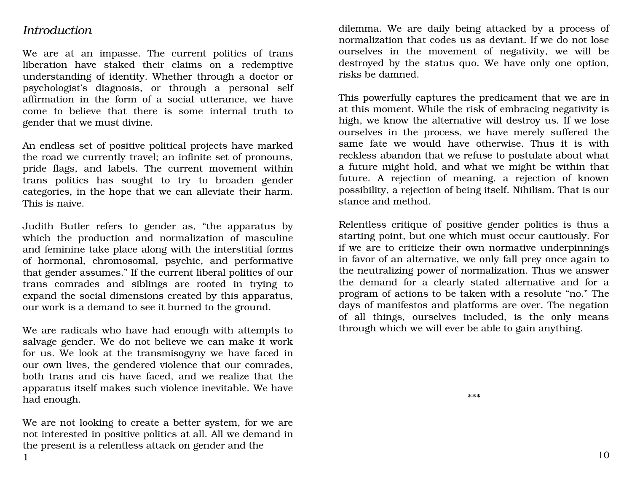## *Introduction*

We are at an impasse. The current politics of trans liberation have staked their claims on a redemptive understanding of identity. Whether through a doctor or psychologist's diagnosis, or through a personal self affirmation in the form of a social utterance, we have come to believe that there is some internal truth to gender that we must divine.

An endless set of positive political projects have marked the road we currently travel; an infinite set of pronouns, pride flags, and labels. The current movement within trans politics has sought to try to broaden gender categories, in the hope that we can alleviate their harm. This is naive.

Judith Butler refers to gender as, "the apparatus by which the production and normalization of masculine and feminine take place along with the interstitial forms of hormonal, chromosomal, psychic, and performative that gender assumes." If the current liberal politics of our trans comrades and siblings are rooted in trying to expand the social dimensions created by this apparatus, our work is a demand to see it burned to the ground.

We are radicals who have had enough with attempts to salvage gender. We do not believe we can make it work for us. We look at the transmisogyny we have faced in our own lives, the gendered violence that our comrades, both trans and cis have faced, and we realize that the apparatus itself makes such violence inevitable. We have had enough.

We are not looking to create a better system, for we are not interested in positive politics at all. All we demand in the present is a relentless attack on gender and the 1

dilemma. We are daily being attacked by a process of normalization that codes us as deviant. If we do not lose ourselves in the movement of negativity, we will be destroyed by the status quo. We have only one option, risks be damned.

This powerfully captures the predicament that we are in at this moment. While the risk of embracing negativity is high, we know the alternative will destroy us. If we lose ourselves in the process, we have merely suffered the same fate we would have otherwise. Thus it is with reckless abandon that we refuse to postulate about what a future might hold, and what we might be within that future. A rejection of meaning, a rejection of known possibility, a rejection of being itself. Nihilism. That is our stance and method.

Relentless critique of positive gender politics is thus a starting point, but one which must occur cautiously. For if we are to criticize their own normative underpinnings in favor of an alternative, we only fall prey once again to the neutralizing power of normalization. Thus we answer the demand for a clearly stated alternative and for a program of actions to be taken with a resolute "no." The days of manifestos and platforms are over. The negation of all things, ourselves included, is the only means through which we will ever be able to gain anything.

\*\*\*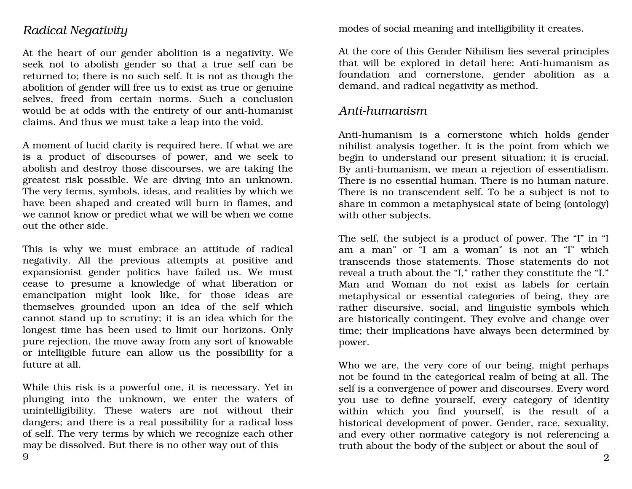## *Radical Negativity*

At the heart of our gender abolition is a negativity. We seek not to abolish gender so that a true self can be returned to; there is no such self. It is not as though the abolition of gender will free us to exist as true or genuine selves, freed from certain norms. Such a conclusion would be at odds with the entirety of our anti-humanist claims. And thus we must take a leap into the void.

A moment of lucid clarity is required here. If what we are is a product of discourses of power, and we seek to abolish and destroy those discourses, we are taking the greatest risk possible. We are diving into an unknown. The very terms, symbols, ideas, and realities by which we have been shaped and created will burn in flames, and we cannot know or predict what we will be when we come out the other side.

This is why we must embrace an attitude of radical negativity. All the previous attempts at positive and expansionist gender politics have failed us. We must cease to presume a knowledge of what liberation or emancipation might look like, for those ideas are themselves grounded upon an idea of the self which cannot stand up to scrutiny; it is an idea which for the longest time has been used to limit our horizons. Only pure rejection, the move away from any sort of knowable or intelligible future can allow us the possibility for a future at all.

While this risk is a powerful one, it is necessary. Yet in plunging into the unknown, we enter the waters of unintelligibility. These waters are not without their dangers; and there is a real possibility for a radical loss of self. The very terms by which we recognize each other may be dissolved. But there is no other way out of this

modes of social meaning and intelligibility it creates.

At the core of this Gender Nihilism lies several principles that will be explored in detail here: Anti-humanism as foundation and cornerstone, gender abolition as a demand, and radical negativity as method.

## Anti-humanism

Anti-humanism is a cornerstone which holds gender nihilist analysis together. It is the point from which we begin to understand our present situation; it is crucial. By anti-humanism, we mean a rejection of essentialism. There is no essential human. There is no human nature. There is no transcendent self. To be a subject is not to share in common a metaphysical state of being (ontology) with other subjects.

The self, the subject is a product of power. The "I" in "I am a man" or "I am a woman" is not an "I" which transcends those statements. Those statements do not reveal a truth about the "I," rather they constitute the "I." Man and Woman do not exist as labels for certain metaphysical or essential categories of being, they are rather discursive, social, and linguistic symbols which are historically contingent. They evolve and change over time; their implications have always been determined by power.

Who we are, the very core of our being, might perhaps not be found in the categorical realm of being at all. The self is a convergence of power and discourses. Every word you use to define yourself, every category of identity within which you find yourself, is the result of a historical development of power. Gender, race, sexuality, and every other normative category is not referencing a truth about the body of the subject or about the soul of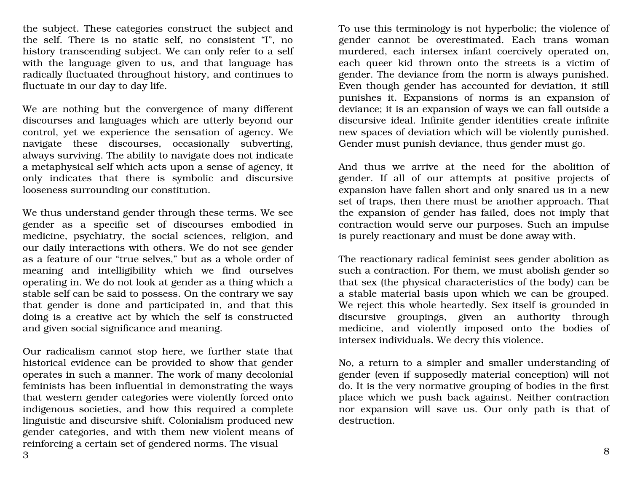the subject. These categories construct the subject and the self. There is no static self, no consistent "I", no history transcending subject. We can only refer to a self with the language given to us, and that language has radically fluctuated throughout history, and continues to fluctuate in our day to day life.

We are nothing but the convergence of many different discourses and languages which are utterly beyond our control, yet we experience the sensation of agency. We navigate these discourses, occasionally subverting, always surviving. The ability to navigate does not indicate a metaphysical self which acts upon a sense of agency, it only indicates that there is symbolic and discursive looseness surrounding our constitution.

We thus understand gender through these terms. We see gender as a specific set of discourses embodied in medicine, psychiatry, the social sciences, religion, and our daily interactions with others. We do not see gender as a feature of our "true selves," but as a whole order of meaning and intelligibility which we find ourselves operating in. We do not look at gender as a thing which a stable self can be said to possess. On the contrary we say that gender is done and participated in, and that this doing is a creative act by which the self is constructed and given social significance and meaning.

Our radicalism cannot stop here, we further state that historical evidence can be provided to show that gender operates in such a manner. The work of many decolonial feminists has been influential in demonstrating the ways that western gender categories were violently forced onto indigenous societies, and how this required a complete linguistic and discursive shift. Colonialism produced new gender categories, and with them new violent means of reinforcing a certain set of gendered norms. The visual

To use this terminology is not hyperbolic; the violence of gender cannot be overestimated. Each trans woman murdered, each intersex infant coercively operated on, each queer kid thrown onto the streets is a victim of gender. The deviance from the norm is always punished. Even though gender has accounted for deviation, it still punishes it. Expansions of norms is an expansion of deviance; it is an expansion of ways we can fall outside a discursive ideal. Infinite gender identities create infinite new spaces of deviation which will be violently punished. Gender must punish deviance, thus gender must go.

And thus we arrive at the need for the abolition of gender. If all of our attempts at positive projects of expansion have fallen short and only snared us in a new set of traps, then there must be another approach. That the expansion of gender has failed, does not imply that contraction would serve our purposes. Such an impulse is purely reactionary and must be done away with.

The reactionary radical feminist sees gender abolition as such a contraction. For them, we must abolish gender so that sex (the physical characteristics of the body) can be a stable material basis upon which we can be grouped. We reject this whole heartedly. Sex itself is grounded in discursive groupings, given an authority through medicine, and violently imposed onto the bodies of intersex individuals. We decry this violence.

No, a return to a simpler and smaller understanding of gender (even if supposedly material conception) will not do. It is the very normative grouping of bodies in the first place which we push back against. Neither contraction nor expansion will save us. Our only path is that of destruction.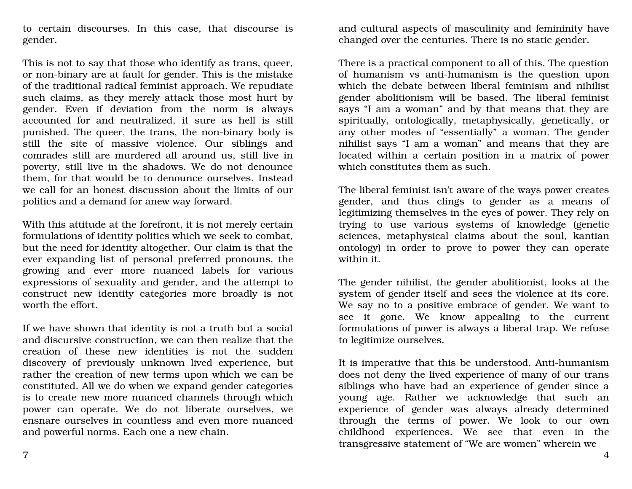to certain discourses. In this case, that discourse is gender.

This is not to say that those who identify as trans, queer, or non-binary are at fault for gender. This is the mistake of the traditional radical feminist approach. We repudiate such claims, as they merely attack those most hurt by gender. Even if deviation from the norm is always accounted for and neutralized, it sure as hell is still punished. The queer, the trans, the non-binary body is still the site of massive violence. Our siblings and comrades still are murdered all around us, still live in poverty, still live in the shadows. We do not denounce them, for that would be to denounce ourselves. Instead we call for an honest discussion about the limits of our politics and a demand for anew way forward.

With this attitude at the forefront, it is not merely certain formulations of identity politics which we seek to combat, but the need for identity altogether. Our claim is that the ever expanding list of personal preferred pronouns, the growing and ever more nuanced labels for various expressions of sexuality and gender, and the attempt to construct new identity categories more broadly is not worth the effort.

If we have shown that identity is not a truth but a social and discursive construction, we can then realize that the creation of these new identities is not the sudden discovery of previously unknown lived experience, but rather the creation of new terms upon which we can be constituted. All we do when we expand gender categories is to create new more nuanced channels through which power can operate. We do not liberate ourselves, we ensnare ourselves in countless and even more nuanced and powerful norms. Each one a new chain.

and cultural aspects of masculinity and femininity have changed over the centuries. There is no static gender.

There is a practical component to all of this. The question of humanism vs anti-humanism is the question upon which the debate between liberal feminism and nihilist gender abolitionism will be based. The liberal feminist says "I am a woman" and by that means that they are spiritually, ontologically, metaphysically, genetically, or any other modes of "essentially" a woman. The gender nihilist says "I am a woman" and means that they are located within a certain position in a matrix of power which constitutes them as such.

The liberal feminist isn't aware of the ways power creates gender, and thus clings to gender as a means of legitimizing themselves in the eyes of power. They rely on trying to use various systems of knowledge (genetic sciences, metaphysical claims about the soul, kantian ontology) in order to prove to power they can operate within it.

The gender nihilist, the gender abolitionist, looks at the system of gender itself and sees the violence at its core. We say no to a positive embrace of gender. We want to see it gone. We know appealing to the current formulations of power is always a liberal trap. We refuse to legitimize ourselves.

It is imperative that this be understood. Anti-humanism does not deny the lived experience of many of our trans siblings who have had an experience of gender since a young age. Rather we acknowledge that such an experience of gender was always already determined through the terms of power. We look to our own childhood experiences. We see that even in the transgressive statement of "We are women" wherein we